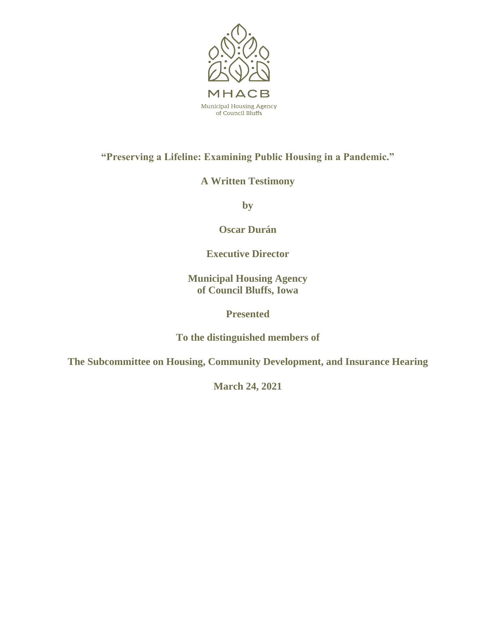

**"Preserving a Lifeline: Examining Public Housing in a Pandemic."**

**A Written Testimony**

**by** 

**Oscar Durán**

**Executive Director**

**Municipal Housing Agency of Council Bluffs, Iowa**

# **Presented**

**To the distinguished members of** 

**The Subcommittee on Housing, Community Development, and Insurance Hearing**

**March 24, 2021**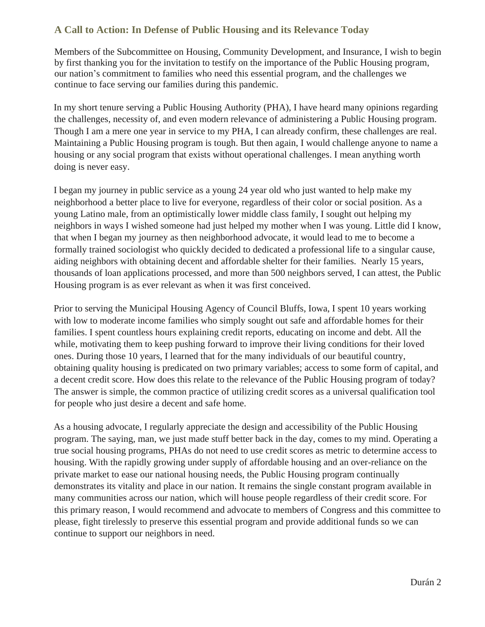# **A Call to Action: In Defense of Public Housing and its Relevance Today**

Members of the Subcommittee on Housing, Community Development, and Insurance, I wish to begin by first thanking you for the invitation to testify on the importance of the Public Housing program, our nation's commitment to families who need this essential program, and the challenges we continue to face serving our families during this pandemic.

In my short tenure serving a Public Housing Authority (PHA), I have heard many opinions regarding the challenges, necessity of, and even modern relevance of administering a Public Housing program. Though I am a mere one year in service to my PHA, I can already confirm, these challenges are real. Maintaining a Public Housing program is tough. But then again, I would challenge anyone to name a housing or any social program that exists without operational challenges. I mean anything worth doing is never easy.

I began my journey in public service as a young 24 year old who just wanted to help make my neighborhood a better place to live for everyone, regardless of their color or social position. As a young Latino male, from an optimistically lower middle class family, I sought out helping my neighbors in ways I wished someone had just helped my mother when I was young. Little did I know, that when I began my journey as then neighborhood advocate, it would lead to me to become a formally trained sociologist who quickly decided to dedicated a professional life to a singular cause, aiding neighbors with obtaining decent and affordable shelter for their families. Nearly 15 years, thousands of loan applications processed, and more than 500 neighbors served, I can attest, the Public Housing program is as ever relevant as when it was first conceived.

Prior to serving the Municipal Housing Agency of Council Bluffs, Iowa, I spent 10 years working with low to moderate income families who simply sought out safe and affordable homes for their families. I spent countless hours explaining credit reports, educating on income and debt. All the while, motivating them to keep pushing forward to improve their living conditions for their loved ones. During those 10 years, I learned that for the many individuals of our beautiful country, obtaining quality housing is predicated on two primary variables; access to some form of capital, and a decent credit score. How does this relate to the relevance of the Public Housing program of today? The answer is simple, the common practice of utilizing credit scores as a universal qualification tool for people who just desire a decent and safe home.

As a housing advocate, I regularly appreciate the design and accessibility of the Public Housing program. The saying, man, we just made stuff better back in the day, comes to my mind. Operating a true social housing programs, PHAs do not need to use credit scores as metric to determine access to housing. With the rapidly growing under supply of affordable housing and an over-reliance on the private market to ease our national housing needs, the Public Housing program continually demonstrates its vitality and place in our nation. It remains the single constant program available in many communities across our nation, which will house people regardless of their credit score. For this primary reason, I would recommend and advocate to members of Congress and this committee to please, fight tirelessly to preserve this essential program and provide additional funds so we can continue to support our neighbors in need.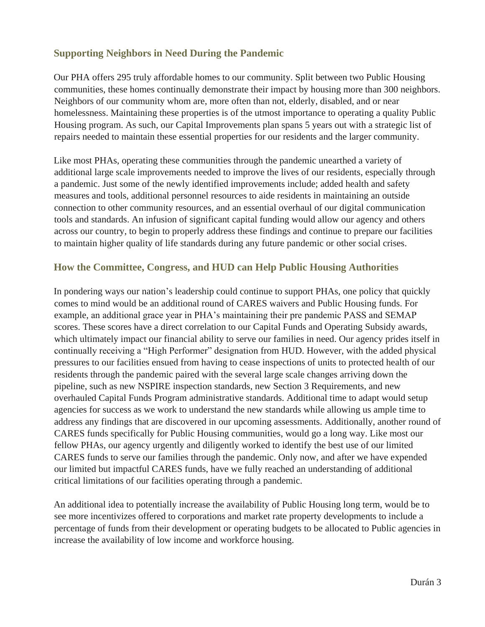# **Supporting Neighbors in Need During the Pandemic**

Our PHA offers 295 truly affordable homes to our community. Split between two Public Housing communities, these homes continually demonstrate their impact by housing more than 300 neighbors. Neighbors of our community whom are, more often than not, elderly, disabled, and or near homelessness. Maintaining these properties is of the utmost importance to operating a quality Public Housing program. As such, our Capital Improvements plan spans 5 years out with a strategic list of repairs needed to maintain these essential properties for our residents and the larger community.

Like most PHAs, operating these communities through the pandemic unearthed a variety of additional large scale improvements needed to improve the lives of our residents, especially through a pandemic. Just some of the newly identified improvements include; added health and safety measures and tools, additional personnel resources to aide residents in maintaining an outside connection to other community resources, and an essential overhaul of our digital communication tools and standards. An infusion of significant capital funding would allow our agency and others across our country, to begin to properly address these findings and continue to prepare our facilities to maintain higher quality of life standards during any future pandemic or other social crises.

### **How the Committee, Congress, and HUD can Help Public Housing Authorities**

In pondering ways our nation's leadership could continue to support PHAs, one policy that quickly comes to mind would be an additional round of CARES waivers and Public Housing funds. For example, an additional grace year in PHA's maintaining their pre pandemic PASS and SEMAP scores. These scores have a direct correlation to our Capital Funds and Operating Subsidy awards, which ultimately impact our financial ability to serve our families in need. Our agency prides itself in continually receiving a "High Performer" designation from HUD. However, with the added physical pressures to our facilities ensued from having to cease inspections of units to protected health of our residents through the pandemic paired with the several large scale changes arriving down the pipeline, such as new NSPIRE inspection standards, new Section 3 Requirements, and new overhauled Capital Funds Program administrative standards. Additional time to adapt would setup agencies for success as we work to understand the new standards while allowing us ample time to address any findings that are discovered in our upcoming assessments. Additionally, another round of CARES funds specifically for Public Housing communities, would go a long way. Like most our fellow PHAs, our agency urgently and diligently worked to identify the best use of our limited CARES funds to serve our families through the pandemic. Only now, and after we have expended our limited but impactful CARES funds, have we fully reached an understanding of additional critical limitations of our facilities operating through a pandemic.

An additional idea to potentially increase the availability of Public Housing long term, would be to see more incentivizes offered to corporations and market rate property developments to include a percentage of funds from their development or operating budgets to be allocated to Public agencies in increase the availability of low income and workforce housing.